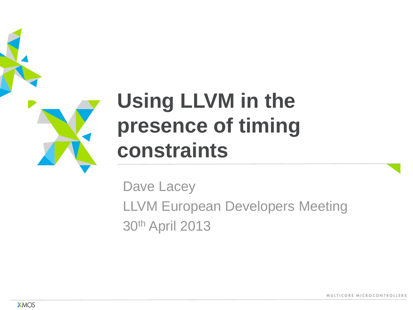

#### **Using LLVM in the presence of timing constraints**

Dave Lacey LLVM European Developers Meeting 30th April 2013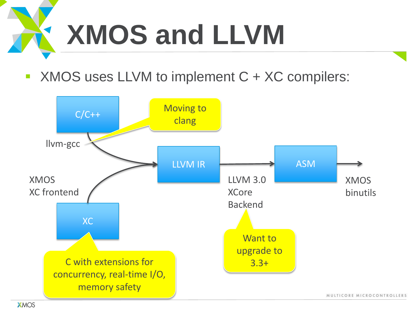## **XMOS and LLVM**

■ XMOS uses LLVM to implement C + XC compilers:

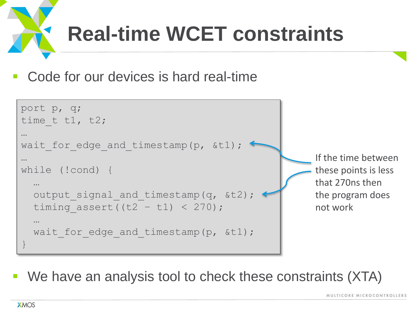

Code for our devices is hard real-time



We have an analysis tool to check these constraints (XTA)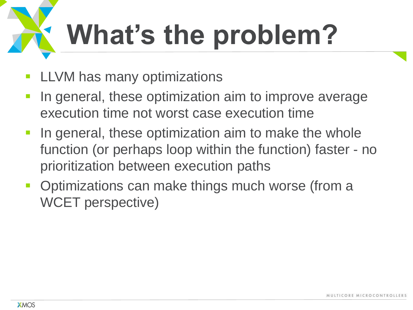# **What's the problem?**

- LLVM has many optimizations
- In general, these optimization aim to improve average execution time not worst case execution time
- **If all in general, these optimization aim to make the whole** function (or perhaps loop within the function) faster - no prioritization between execution paths
- Optimizations can make things much worse (from a WCET perspective)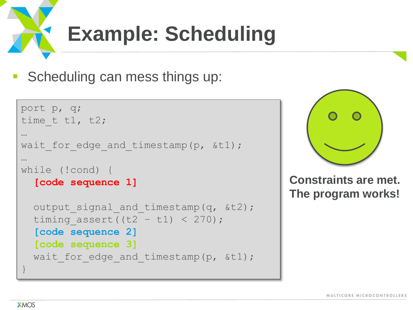

Scheduling can mess things up:

```
port p, q;
time t t1, t2;
…
wait for edge and timestamp(p, &t1);
…
while (!cond) {
  [code sequence 1]
  output signal and timestamp(q, &t2);
  timing assert((t2 - t1) < 270);
   [code sequence 2]
   [code sequence 3]
  wait for edge and timestamp(p, &t1);
}
```


**Constraints are met. The program works!**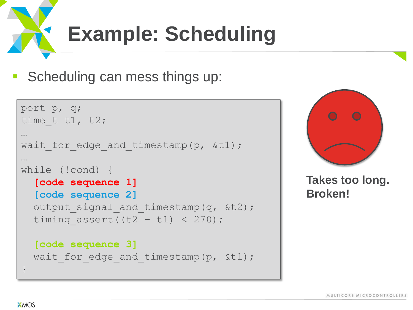

Scheduling can mess things up:

```
port p, q;
time t t1, t2;
…
wait for edge and timestamp(p, &t1);
…
while (!cond) {
  [code sequence 1]
   [code sequence 2]
  output signal and timestamp(q, &t2);
  timing assert((t2 - t1) < 270);
   [code sequence 3]
  wait for edge and timestamp(p, &t1);
}
```


**Takes too long. Broken!**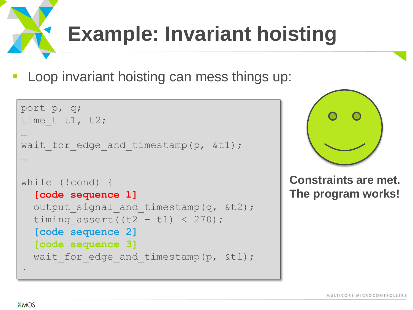#### **Example: Invariant hoisting**

Loop invariant hoisting can mess things up:

```
port p, q;
time t t1, t2;
…
wait for edge and timestamp(p, &t1);
…
while (!cond) {
  [code sequence 1]
  output signal and timestamp(q, &t2);
  timing assert((t2 - t1) < 270);
   [code sequence 2]
   [code sequence 3]
  wait for edge and timestamp(p, &t1);
}
```


**Constraints are met. The program works!**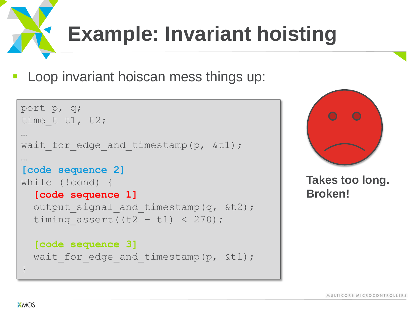### **Example: Invariant hoisting**

Loop invariant hoiscan mess things up:

```
port p, q;
time t t1, t2;
…
wait for edge and timestamp(p, &t1);
…
[code sequence 2]
while (!cond) {
  [code sequence 1]
  output signal and timestamp(q, &t2);
  timing assert((t2 - t1) < 270);
   [code sequence 3]
  wait for edge and timestamp(p, &t1);
}
```


**Takes too long. Broken!**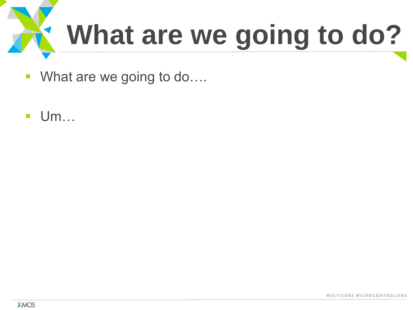

- What are we going to do....
- Um…